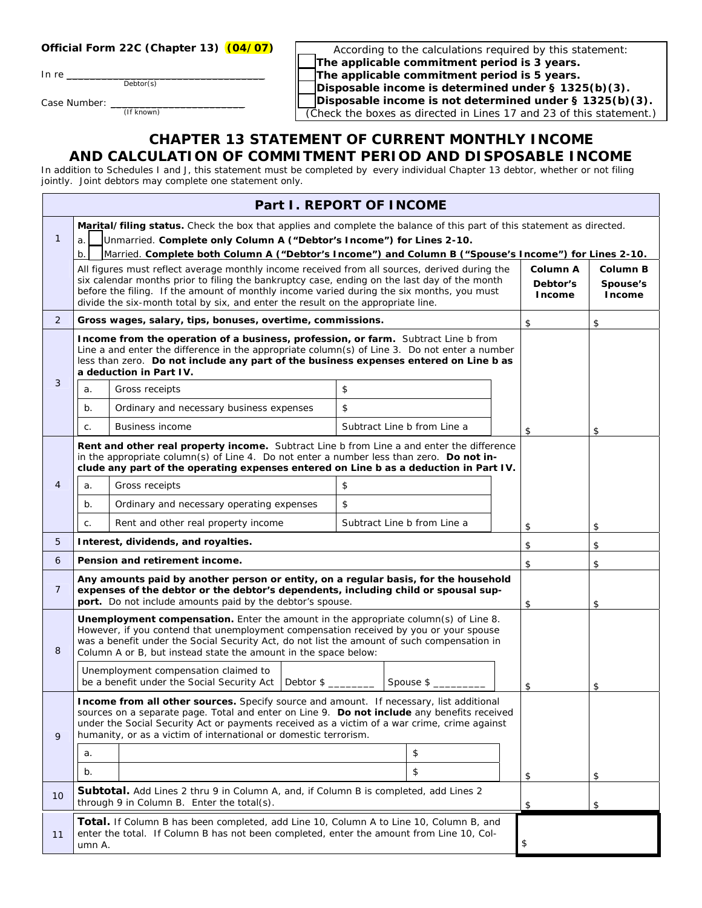## **Official Form 22C (Chapter 13) (04/07)**

In re $\_\_$ 

Debtor(s)

Case Number: \_

(If known)

According to the calculations required by this statement: F **The applicable commitment period is 3 years.** The applicable commitment period is 5 years. Disposable income is determined under § 1325(b)(3). Disposable income is not determined under § 1325(b)(3). (Check the boxes as directed in Lines 17 and 23 of this statement.)

## **CHAPTER 13 STATEMENT OF CURRENT MONTHLY INCOME AND CALCULATION OF COMMITMENT PERIOD AND DISPOSABLE INCOME**

In addition to Schedules I and J, this statement must be completed by every individual Chapter 13 debtor, whether or not filing jointly. Joint debtors may complete one statement only.

| Part I. REPORT OF INCOME |                                                                                                                                                                                                                                                                                                                                                            |                                                                                                                                                                               |                             |    |    |               |        |
|--------------------------|------------------------------------------------------------------------------------------------------------------------------------------------------------------------------------------------------------------------------------------------------------------------------------------------------------------------------------------------------------|-------------------------------------------------------------------------------------------------------------------------------------------------------------------------------|-----------------------------|----|----|---------------|--------|
|                          | Marital/filing status. Check the box that applies and complete the balance of this part of this statement as directed.                                                                                                                                                                                                                                     |                                                                                                                                                                               |                             |    |    |               |        |
| $\mathbf{1}$             | Unmarried. Complete only Column A ("Debtor's Income") for Lines 2-10.<br>a.                                                                                                                                                                                                                                                                                |                                                                                                                                                                               |                             |    |    |               |        |
|                          | $b$ .<br>Married. Complete both Column A ("Debtor's Income") and Column B ("Spouse's Income") for Lines 2-10.                                                                                                                                                                                                                                              |                                                                                                                                                                               |                             |    |    |               |        |
|                          | All figures must reflect average monthly income received from all sources, derived during the<br>Column A<br>Column B<br>six calendar months prior to filing the bankruptcy case, ending on the last day of the month<br>Debtor's<br>Spouse's                                                                                                              |                                                                                                                                                                               |                             |    |    |               |        |
|                          |                                                                                                                                                                                                                                                                                                                                                            | before the filing. If the amount of monthly income varied during the six months, you must<br>divide the six-month total by six, and enter the result on the appropriate line. |                             |    |    | <b>Income</b> | Income |
| $\overline{2}$           |                                                                                                                                                                                                                                                                                                                                                            | Gross wages, salary, tips, bonuses, overtime, commissions.                                                                                                                    |                             |    |    | \$            | \$     |
|                          | Income from the operation of a business, profession, or farm. Subtract Line b from<br>Line a and enter the difference in the appropriate column(s) of Line 3. Do not enter a number<br>less than zero. Do not include any part of the business expenses entered on Line b as<br>a deduction in Part IV.                                                    |                                                                                                                                                                               |                             |    |    |               |        |
| 3                        | a.                                                                                                                                                                                                                                                                                                                                                         | Gross receipts                                                                                                                                                                | \$                          |    |    |               |        |
|                          | $b$ .                                                                                                                                                                                                                                                                                                                                                      | Ordinary and necessary business expenses                                                                                                                                      | \$                          |    |    |               |        |
|                          | C.                                                                                                                                                                                                                                                                                                                                                         | <b>Business income</b>                                                                                                                                                        | Subtract Line b from Line a |    |    | \$            | \$     |
|                          | Rent and other real property income. Subtract Line b from Line a and enter the difference<br>in the appropriate column(s) of Line 4. Do not enter a number less than zero. Do not in-<br>clude any part of the operating expenses entered on Line b as a deduction in Part IV.                                                                             |                                                                                                                                                                               |                             |    |    |               |        |
| $\overline{4}$           | a.                                                                                                                                                                                                                                                                                                                                                         | Gross receipts                                                                                                                                                                | \$                          |    |    |               |        |
|                          | $b$ .                                                                                                                                                                                                                                                                                                                                                      | Ordinary and necessary operating expenses                                                                                                                                     | \$                          |    |    |               |        |
|                          | C.                                                                                                                                                                                                                                                                                                                                                         | Rent and other real property income                                                                                                                                           | Subtract Line b from Line a |    |    | \$            | \$     |
| 5                        | Interest, dividends, and royalties.                                                                                                                                                                                                                                                                                                                        |                                                                                                                                                                               |                             |    | \$ | \$            |        |
| 6                        | Pension and retirement income.<br>\$<br>\$                                                                                                                                                                                                                                                                                                                 |                                                                                                                                                                               |                             |    |    |               |        |
| $\overline{7}$           | Any amounts paid by another person or entity, on a regular basis, for the household<br>expenses of the debtor or the debtor's dependents, including child or spousal sup-<br>port. Do not include amounts paid by the debtor's spouse.<br>\$<br>\$                                                                                                         |                                                                                                                                                                               |                             |    |    |               |        |
| 8                        | Unemployment compensation. Enter the amount in the appropriate column(s) of Line 8.<br>However, if you contend that unemployment compensation received by you or your spouse<br>was a benefit under the Social Security Act, do not list the amount of such compensation in<br>Column A or B, but instead state the amount in the space below:             |                                                                                                                                                                               |                             |    |    |               |        |
|                          | Unemployment compensation claimed to<br>be a benefit under the Social Security Act<br>Debtor \$<br>Spouse \$                                                                                                                                                                                                                                               |                                                                                                                                                                               |                             | \$ | \$ |               |        |
| 9                        | Income from all other sources. Specify source and amount. If necessary, list additional<br>sources on a separate page. Total and enter on Line 9. Do not include any benefits received<br>under the Social Security Act or payments received as a victim of a war crime, crime against<br>humanity, or as a victim of international or domestic terrorism. |                                                                                                                                                                               |                             |    |    |               |        |
|                          | a.                                                                                                                                                                                                                                                                                                                                                         |                                                                                                                                                                               |                             | \$ |    |               |        |
|                          | b.                                                                                                                                                                                                                                                                                                                                                         |                                                                                                                                                                               |                             | \$ |    | \$            | \$     |
| 10                       | <b>Subtotal.</b> Add Lines 2 thru 9 in Column A, and, if Column B is completed, add Lines 2<br>through 9 in Column B. Enter the total(s).<br>\$<br>\$                                                                                                                                                                                                      |                                                                                                                                                                               |                             |    |    |               |        |
| 11                       | <b>Total.</b> If Column B has been completed, add Line 10, Column A to Line 10, Column B, and<br>enter the total. If Column B has not been completed, enter the amount from Line 10, Col-<br>\$<br>umn A.                                                                                                                                                  |                                                                                                                                                                               |                             |    |    |               |        |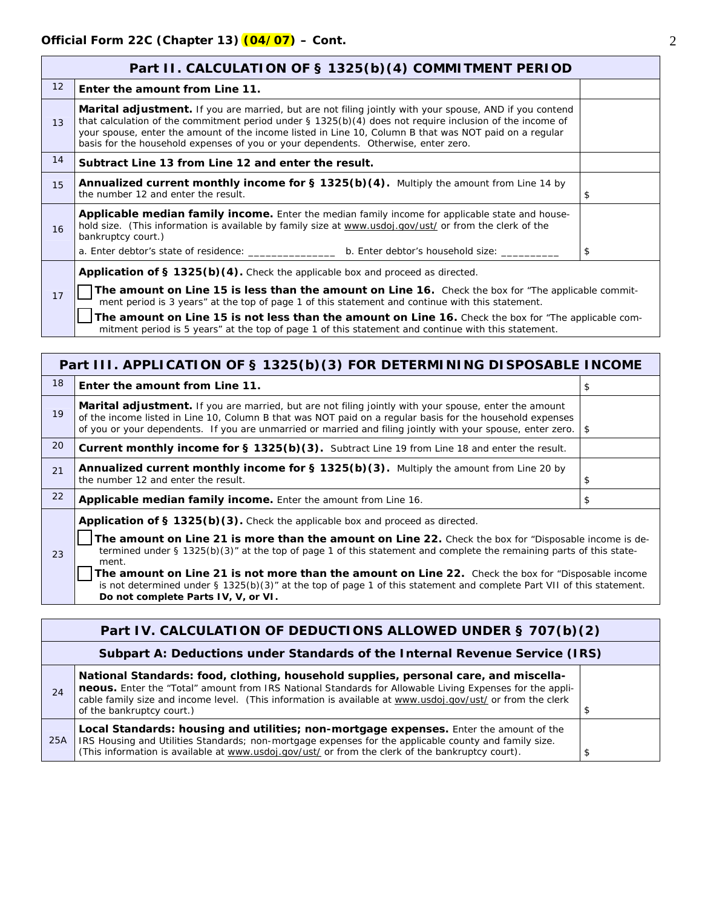| Part II. CALCULATION OF § 1325(b)(4) COMMITMENT PERIOD                                |                                                                                                                                                                                                                                                                                                                                                                                                                               |    |  |  |
|---------------------------------------------------------------------------------------|-------------------------------------------------------------------------------------------------------------------------------------------------------------------------------------------------------------------------------------------------------------------------------------------------------------------------------------------------------------------------------------------------------------------------------|----|--|--|
| 12 <sup>2</sup>                                                                       | Enter the amount from Line 11.                                                                                                                                                                                                                                                                                                                                                                                                |    |  |  |
| 13                                                                                    | <b>Marital adjustment.</b> If you are married, but are not filing jointly with your spouse, AND if you contend<br>that calculation of the commitment period under $\S$ 1325(b)(4) does not require inclusion of the income of<br>your spouse, enter the amount of the income listed in Line 10, Column B that was NOT paid on a regular<br>basis for the household expenses of you or your dependents. Otherwise, enter zero. |    |  |  |
| 14                                                                                    | Subtract Line 13 from Line 12 and enter the result.                                                                                                                                                                                                                                                                                                                                                                           |    |  |  |
| 15                                                                                    | <b>Annualized current monthly income for <math>\S</math> 1325(b)(4).</b> Multiply the amount from Line 14 by<br>the number 12 and enter the result.                                                                                                                                                                                                                                                                           | \$ |  |  |
| 16                                                                                    | Applicable median family income. Enter the median family income for applicable state and house-<br>hold size. (This information is available by family size at www.usdoj.gov/ust/ or from the clerk of the<br>bankruptcy court.)                                                                                                                                                                                              |    |  |  |
|                                                                                       | a. Enter debtor's state of residence: b. Enter debtor's household size:                                                                                                                                                                                                                                                                                                                                                       | \$ |  |  |
| <b>Application of § 1325(b)(4).</b> Check the applicable box and proceed as directed. |                                                                                                                                                                                                                                                                                                                                                                                                                               |    |  |  |
| 17                                                                                    | The amount on Line 15 is less than the amount on Line 16. Check the box for "The applicable commit-<br>ment period is 3 years" at the top of page 1 of this statement and continue with this statement.                                                                                                                                                                                                                       |    |  |  |
|                                                                                       | The amount on Line 15 is not less than the amount on Line 16. Check the box for "The applicable com-                                                                                                                                                                                                                                                                                                                          |    |  |  |

mitment period is 5 years" at the top of page 1 of this statement and continue with this statement.

| Part III. APPLICATION OF § 1325(b)(3) FOR DETERMINING DISPOSABLE INCOME |                                                                                                                                                                                                                                                                                                                                                                                                                                                                                                                                                               |    |  |  |
|-------------------------------------------------------------------------|---------------------------------------------------------------------------------------------------------------------------------------------------------------------------------------------------------------------------------------------------------------------------------------------------------------------------------------------------------------------------------------------------------------------------------------------------------------------------------------------------------------------------------------------------------------|----|--|--|
| 18                                                                      | Enter the amount from Line 11.                                                                                                                                                                                                                                                                                                                                                                                                                                                                                                                                | \$ |  |  |
| 19                                                                      | <b>Marital adjustment.</b> If you are married, but are not filing jointly with your spouse, enter the amount<br>of the income listed in Line 10, Column B that was NOT paid on a regular basis for the household expenses<br>of you or your dependents. If you are unmarried or married and filing jointly with your spouse, enter zero.                                                                                                                                                                                                                      | \$ |  |  |
| 20                                                                      | Current monthly income for § 1325(b)(3). Subtract Line 19 from Line 18 and enter the result.                                                                                                                                                                                                                                                                                                                                                                                                                                                                  |    |  |  |
| 21                                                                      | <b>Annualized current monthly income for § 1325(b)(3).</b> Multiply the amount from Line 20 by<br>the number 12 and enter the result.                                                                                                                                                                                                                                                                                                                                                                                                                         | \$ |  |  |
| 22                                                                      | Applicable median family income. Enter the amount from Line 16.<br>\$                                                                                                                                                                                                                                                                                                                                                                                                                                                                                         |    |  |  |
| 23                                                                      | Application of § 1325(b)(3). Check the applicable box and proceed as directed.<br>The amount on Line 21 is more than the amount on Line 22. Check the box for "Disposable income is de-<br>termined under $\S$ 1325(b)(3)" at the top of page 1 of this statement and complete the remaining parts of this state-<br>ment.<br>The amount on Line 21 is not more than the amount on Line 22. Check the box for "Disposable income<br>is not determined under $\S 1325(b)(3)$ " at the top of page 1 of this statement and complete Part VII of this statement. |    |  |  |

**Do not complete Parts IV, V, or VI. Part IV. CALCULATION OF DEDUCTIONS ALLOWED UNDER § 707(b)(2) Subpart A: Deductions under Standards of the Internal Revenue Service (IRS)**  24 **National Standards: food, clothing, household supplies, personal care, and miscellaneous.** Enter the "Total" amount from IRS National Standards for Allowable Living Expenses for the applicable family size and income level. (This information is available at www.usdoj.gov/ust/ or from the clerk of the bankruptcy court.) **Local Standards: housing and utilities; non-mortgage expenses.** Enter the amount of the

25A IRS Housing and Utilities Standards; non-mortgage expenses for the applicable county and family size. (This information is available at [www.usdoj.gov/ust/](http://www.usdoj.gov/ust/eo/bapcpa/meanstesting.htm) or from the clerk of the bankruptcy court).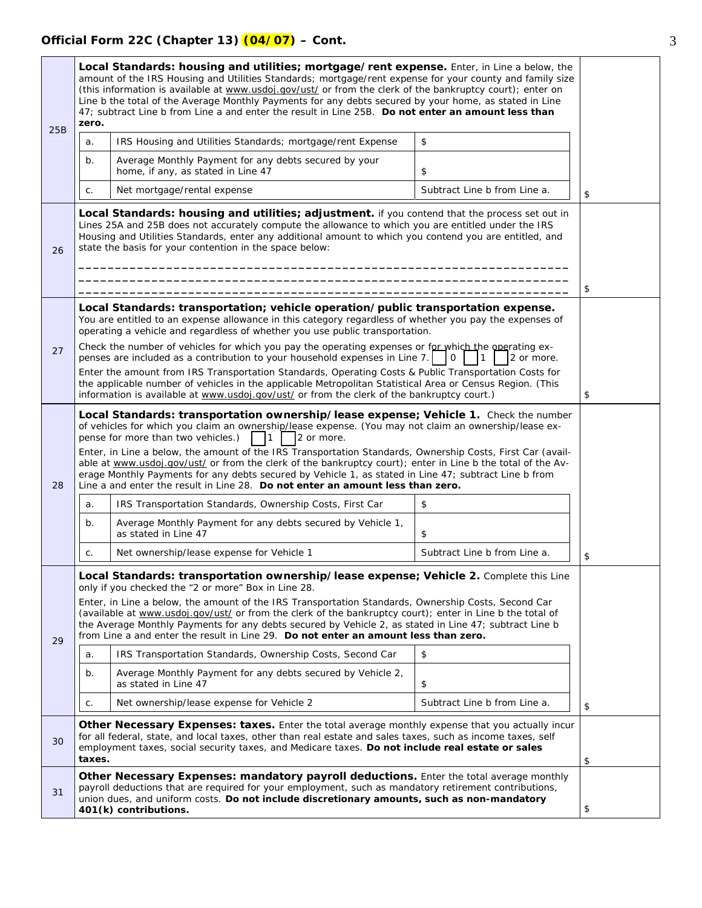## **Official Form 22C (Chapter 13) (04/07) – Cont.** 3

25B

26

27

28

29

30

| Local Standards: housing and utilities; mortgage/rent expense. Enter, in Line a below, the<br>amount of the IRS Housing and Utilities Standards; mortgage/rent expense for your county and family size<br>(this information is available at www.usdoj.gov/ust/ or from the clerk of the bankruptcy court); enter on<br>Line b the total of the Average Monthly Payments for any debts secured by your home, as stated in Line<br>47; subtract Line b from Line a and enter the result in Line 25B. Do not enter an amount less than<br>zero.<br>\$<br>IRS Housing and Utilities Standards; mortgage/rent Expense<br>a.                                                           |                                                                                             |                              |    |  |
|----------------------------------------------------------------------------------------------------------------------------------------------------------------------------------------------------------------------------------------------------------------------------------------------------------------------------------------------------------------------------------------------------------------------------------------------------------------------------------------------------------------------------------------------------------------------------------------------------------------------------------------------------------------------------------|---------------------------------------------------------------------------------------------|------------------------------|----|--|
| b.                                                                                                                                                                                                                                                                                                                                                                                                                                                                                                                                                                                                                                                                               | Average Monthly Payment for any debts secured by your<br>home, if any, as stated in Line 47 | \$                           |    |  |
| C.                                                                                                                                                                                                                                                                                                                                                                                                                                                                                                                                                                                                                                                                               | Net mortgage/rental expense                                                                 | Subtract Line b from Line a. | \$ |  |
| Local Standards: housing and utilities; adjustment. if you contend that the process set out in<br>Lines 25A and 25B does not accurately compute the allowance to which you are entitled under the IRS<br>Housing and Utilities Standards, enter any additional amount to which you contend you are entitled, and<br>state the basis for your contention in the space below:                                                                                                                                                                                                                                                                                                      |                                                                                             |                              |    |  |
| Local Standards: transportation; vehicle operation/public transportation expense.<br>You are entitled to an expense allowance in this category regardless of whether you pay the expenses of<br>operating a vehicle and regardless of whether you use public transportation.                                                                                                                                                                                                                                                                                                                                                                                                     |                                                                                             |                              |    |  |
| Check the number of vehicles for which you pay the operating expenses or for which the operating ex-<br>penses are included as a contribution to your household expenses in Line 7.<br>2 or more.<br>0 I                                                                                                                                                                                                                                                                                                                                                                                                                                                                         |                                                                                             |                              |    |  |
| Enter the amount from IRS Transportation Standards, Operating Costs & Public Transportation Costs for<br>the applicable number of vehicles in the applicable Metropolitan Statistical Area or Census Region. (This<br>information is available at www.usdoj.gov/ust/ or from the clerk of the bankruptcy court.)                                                                                                                                                                                                                                                                                                                                                                 |                                                                                             |                              |    |  |
| Local Standards: transportation ownership/lease expense; Vehicle 1. Check the number<br>of vehicles for which you claim an ownership/lease expense. (You may not claim an ownership/lease ex-<br>pense for more than two vehicles.)<br>2 or more.<br>l 1<br>Enter, in Line a below, the amount of the IRS Transportation Standards, Ownership Costs, First Car (avail-<br>able at www.usdoj.gov/ust/ or from the clerk of the bankruptcy court); enter in Line b the total of the Av-<br>erage Monthly Payments for any debts secured by Vehicle 1, as stated in Line 47; subtract Line b from<br>Line a and enter the result in Line 28. Do not enter an amount less than zero. |                                                                                             |                              |    |  |
| a.                                                                                                                                                                                                                                                                                                                                                                                                                                                                                                                                                                                                                                                                               | \$<br>IRS Transportation Standards, Ownership Costs, First Car                              |                              |    |  |
| $b$ .                                                                                                                                                                                                                                                                                                                                                                                                                                                                                                                                                                                                                                                                            | Average Monthly Payment for any debts secured by Vehicle 1,<br>as stated in Line 47<br>\$   |                              |    |  |
| C.                                                                                                                                                                                                                                                                                                                                                                                                                                                                                                                                                                                                                                                                               | Net ownership/lease expense for Vehicle 1                                                   | Subtract Line b from Line a. | \$ |  |
| Local Standards: transportation ownership/lease expense; Vehicle 2. Complete this Line<br>only if you checked the "2 or more" Box in Line 28.<br>Enter, in Line a below, the amount of the IRS Transportation Standards, Ownership Costs, Second Car<br>(available at www.usdoj.gov/ust/ or from the clerk of the bankruptcy court); enter in Line b the total of<br>the Average Monthly Payments for any debts secured by Vehicle 2, as stated in Line 47; subtract Line b<br>from Line a and enter the result in Line 29. Do not enter an amount less than zero.                                                                                                               |                                                                                             |                              |    |  |
| a.                                                                                                                                                                                                                                                                                                                                                                                                                                                                                                                                                                                                                                                                               | IRS Transportation Standards, Ownership Costs, Second Car                                   | \$                           |    |  |
| b.                                                                                                                                                                                                                                                                                                                                                                                                                                                                                                                                                                                                                                                                               | Average Monthly Payment for any debts secured by Vehicle 2.<br>as stated in Line 47         | \$                           |    |  |
| Net ownership/lease expense for Vehicle 2<br>Subtract Line b from Line a.<br>C.<br>\$                                                                                                                                                                                                                                                                                                                                                                                                                                                                                                                                                                                            |                                                                                             |                              |    |  |
| Other Necessary Expenses: taxes. Enter the total average monthly expense that you actually incur<br>for all federal, state, and local taxes, other than real estate and sales taxes, such as income taxes, self<br>employment taxes, social security taxes, and Medicare taxes. Do not include real estate or sales<br>taxes.<br>\$                                                                                                                                                                                                                                                                                                                                              |                                                                                             |                              |    |  |
| Other Necessary Expenses: mandatory payroll deductions. Enter the total average monthly                                                                                                                                                                                                                                                                                                                                                                                                                                                                                                                                                                                          |                                                                                             |                              |    |  |

31 payroll deductions that are required for your employment, such as mandatory retirement contributions, union dues, and uniform costs. **Do not include discretionary amounts, such as non-mandatory 401(k) contributions.** \$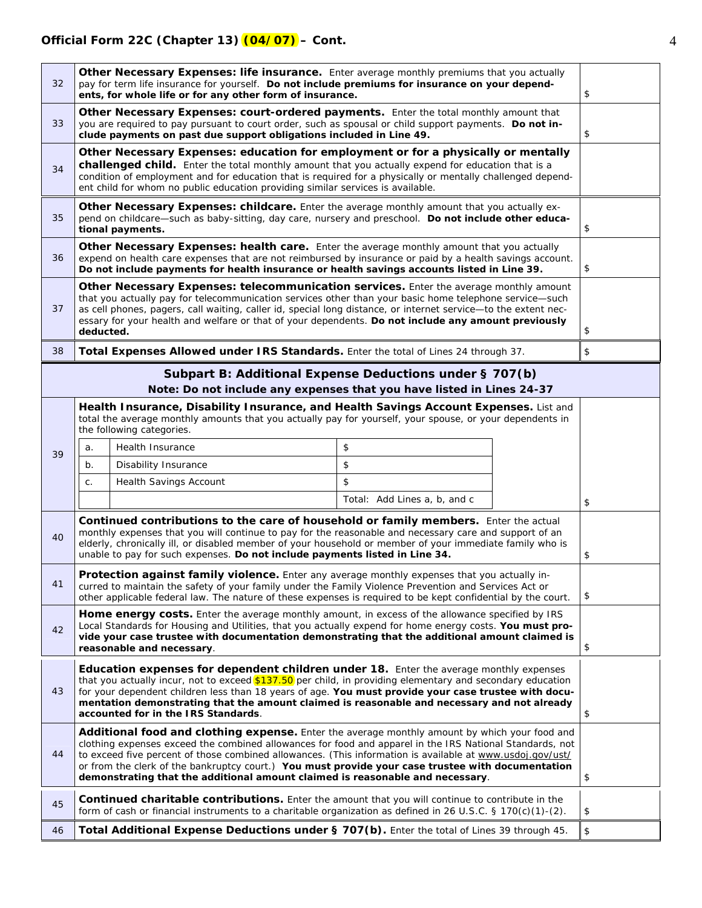| 32 | Other Necessary Expenses: life insurance. Enter average monthly premiums that you actually<br>pay for term life insurance for yourself. Do not include premiums for insurance on your depend-<br>ents, for whole life or for any other form of insurance.                                                                                                                                                                                                                                                    |                                                                                                                                                                                                                                                                                                     |                              | \$ |    |
|----|--------------------------------------------------------------------------------------------------------------------------------------------------------------------------------------------------------------------------------------------------------------------------------------------------------------------------------------------------------------------------------------------------------------------------------------------------------------------------------------------------------------|-----------------------------------------------------------------------------------------------------------------------------------------------------------------------------------------------------------------------------------------------------------------------------------------------------|------------------------------|----|----|
| 33 | Other Necessary Expenses: court-ordered payments. Enter the total monthly amount that<br>you are required to pay pursuant to court order, such as spousal or child support payments. Do not in-<br>clude payments on past due support obligations included in Line 49.                                                                                                                                                                                                                                       |                                                                                                                                                                                                                                                                                                     |                              | \$ |    |
| 34 | Other Necessary Expenses: education for employment or for a physically or mentally<br>challenged child. Enter the total monthly amount that you actually expend for education that is a<br>condition of employment and for education that is required for a physically or mentally challenged depend-<br>ent child for whom no public education providing similar services is available.                                                                                                                     |                                                                                                                                                                                                                                                                                                     |                              |    |    |
| 35 |                                                                                                                                                                                                                                                                                                                                                                                                                                                                                                              | Other Necessary Expenses: childcare. Enter the average monthly amount that you actually ex-<br>pend on childcare-such as baby-sitting, day care, nursery and preschool. Do not include other educa-<br>tional payments.                                                                             |                              |    | \$ |
| 36 |                                                                                                                                                                                                                                                                                                                                                                                                                                                                                                              | Other Necessary Expenses: health care. Enter the average monthly amount that you actually<br>expend on health care expenses that are not reimbursed by insurance or paid by a health savings account.<br>Do not include payments for health insurance or health savings accounts listed in Line 39. |                              |    | \$ |
| 37 | Other Necessary Expenses: telecommunication services. Enter the average monthly amount<br>that you actually pay for telecommunication services other than your basic home telephone service-such<br>as cell phones, pagers, call waiting, caller id, special long distance, or internet service-to the extent nec-<br>essary for your health and welfare or that of your dependents. Do not include any amount previously<br>deducted.                                                                       |                                                                                                                                                                                                                                                                                                     |                              | \$ |    |
| 38 |                                                                                                                                                                                                                                                                                                                                                                                                                                                                                                              | Total Expenses Allowed under IRS Standards. Enter the total of Lines 24 through 37.                                                                                                                                                                                                                 |                              |    | \$ |
|    |                                                                                                                                                                                                                                                                                                                                                                                                                                                                                                              | Subpart B: Additional Expense Deductions under § 707(b)                                                                                                                                                                                                                                             |                              |    |    |
|    |                                                                                                                                                                                                                                                                                                                                                                                                                                                                                                              | Note: Do not include any expenses that you have listed in Lines 24-37                                                                                                                                                                                                                               |                              |    |    |
|    |                                                                                                                                                                                                                                                                                                                                                                                                                                                                                                              | Health Insurance, Disability Insurance, and Health Savings Account Expenses. List and<br>total the average monthly amounts that you actually pay for yourself, your spouse, or your dependents in<br>the following categories.                                                                      |                              |    |    |
| 39 | a.                                                                                                                                                                                                                                                                                                                                                                                                                                                                                                           | Health Insurance                                                                                                                                                                                                                                                                                    | \$                           |    |    |
|    | b.                                                                                                                                                                                                                                                                                                                                                                                                                                                                                                           | Disability Insurance                                                                                                                                                                                                                                                                                | \$                           |    |    |
|    | C.                                                                                                                                                                                                                                                                                                                                                                                                                                                                                                           | <b>Health Savings Account</b>                                                                                                                                                                                                                                                                       | \$                           |    |    |
|    |                                                                                                                                                                                                                                                                                                                                                                                                                                                                                                              |                                                                                                                                                                                                                                                                                                     | Total: Add Lines a, b, and c |    | \$ |
| 40 | Continued contributions to the care of household or family members. Enter the actual<br>monthly expenses that you will continue to pay for the reasonable and necessary care and support of an<br>elderly, chronically ill, or disabled member of your household or member of your immediate family who is<br>unable to pay for such expenses. Do not include payments listed in Line 34.                                                                                                                    |                                                                                                                                                                                                                                                                                                     |                              | \$ |    |
| 41 | Protection against family violence. Enter any average monthly expenses that you actually in-<br>curred to maintain the safety of your family under the Family Violence Prevention and Services Act or<br>other applicable federal law. The nature of these expenses is required to be kept confidential by the court.                                                                                                                                                                                        |                                                                                                                                                                                                                                                                                                     |                              | \$ |    |
| 42 | Home energy costs. Enter the average monthly amount, in excess of the allowance specified by IRS<br>Local Standards for Housing and Utilities, that you actually expend for home energy costs. You must pro-<br>vide your case trustee with documentation demonstrating that the additional amount claimed is<br>reasonable and necessary.                                                                                                                                                                   |                                                                                                                                                                                                                                                                                                     |                              | \$ |    |
| 43 | <b>Education expenses for dependent children under 18.</b> Enter the average monthly expenses<br>that you actually incur, not to exceed \$137.50 per child, in providing elementary and secondary education<br>for your dependent children less than 18 years of age. You must provide your case trustee with docu-<br>mentation demonstrating that the amount claimed is reasonable and necessary and not already<br>accounted for in the IRS Standards.                                                    |                                                                                                                                                                                                                                                                                                     |                              | \$ |    |
| 44 | Additional food and clothing expense. Enter the average monthly amount by which your food and<br>clothing expenses exceed the combined allowances for food and apparel in the IRS National Standards, not<br>to exceed five percent of those combined allowances. (This information is available at www.usdoj.gov/ust/<br>or from the clerk of the bankruptcy court.) You must provide your case trustee with documentation<br>demonstrating that the additional amount claimed is reasonable and necessary. |                                                                                                                                                                                                                                                                                                     |                              | \$ |    |
| 45 | <b>Continued charitable contributions.</b> Enter the amount that you will continue to contribute in the<br>form of cash or financial instruments to a charitable organization as defined in 26 U.S.C. § 170(c)(1)-(2).                                                                                                                                                                                                                                                                                       |                                                                                                                                                                                                                                                                                                     |                              | \$ |    |
| 46 | Total Additional Expense Deductions under § 707(b). Enter the total of Lines 39 through 45.                                                                                                                                                                                                                                                                                                                                                                                                                  |                                                                                                                                                                                                                                                                                                     |                              | \$ |    |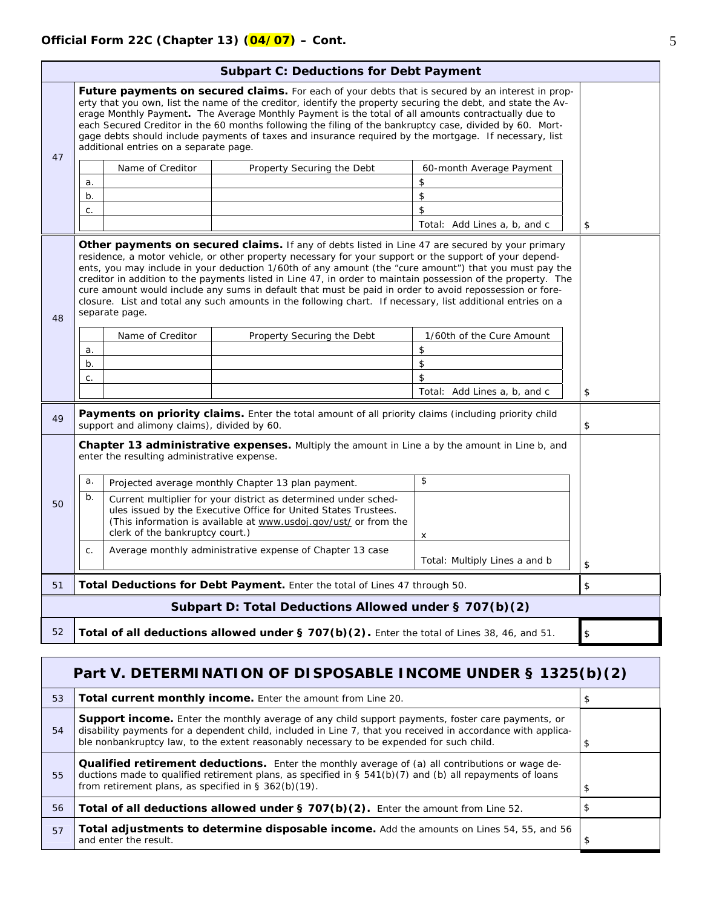|                                                                                                           | <b>Subpart C: Deductions for Debt Payment</b>                                                                                                                                                                                                                                                                                                                                                                                                                                                                                                                                            |                  |                                                           |                               |    |
|-----------------------------------------------------------------------------------------------------------|------------------------------------------------------------------------------------------------------------------------------------------------------------------------------------------------------------------------------------------------------------------------------------------------------------------------------------------------------------------------------------------------------------------------------------------------------------------------------------------------------------------------------------------------------------------------------------------|------------------|-----------------------------------------------------------|-------------------------------|----|
|                                                                                                           | Future payments on secured claims. For each of your debts that is secured by an interest in prop-<br>erty that you own, list the name of the creditor, identify the property securing the debt, and state the Av-<br>erage Monthly Payment. The Average Monthly Payment is the total of all amounts contractually due to<br>each Secured Creditor in the 60 months following the filing of the bankruptcy case, divided by 60. Mort-<br>gage debts should include payments of taxes and insurance required by the mortgage. If necessary, list<br>additional entries on a separate page. |                  |                                                           |                               |    |
| 47                                                                                                        |                                                                                                                                                                                                                                                                                                                                                                                                                                                                                                                                                                                          | Name of Creditor | Property Securing the Debt                                | 60-month Average Payment      |    |
|                                                                                                           | a.                                                                                                                                                                                                                                                                                                                                                                                                                                                                                                                                                                                       |                  |                                                           | \$                            |    |
|                                                                                                           | b.                                                                                                                                                                                                                                                                                                                                                                                                                                                                                                                                                                                       |                  |                                                           | \$                            |    |
|                                                                                                           | C.                                                                                                                                                                                                                                                                                                                                                                                                                                                                                                                                                                                       |                  |                                                           | \$                            |    |
|                                                                                                           |                                                                                                                                                                                                                                                                                                                                                                                                                                                                                                                                                                                          |                  |                                                           | Total: Add Lines a, b, and c  | \$ |
| 48                                                                                                        | residence, a motor vehicle, or other property necessary for your support or the support of your depend-<br>ents, you may include in your deduction 1/60th of any amount (the "cure amount") that you must pay the<br>creditor in addition to the payments listed in Line 47, in order to maintain possession of the property. The<br>cure amount would include any sums in default that must be paid in order to avoid repossession or fore-<br>closure. List and total any such amounts in the following chart. If necessary, list additional entries on a<br>separate page.            |                  |                                                           |                               |    |
|                                                                                                           |                                                                                                                                                                                                                                                                                                                                                                                                                                                                                                                                                                                          | Name of Creditor | Property Securing the Debt                                | 1/60th of the Cure Amount     |    |
|                                                                                                           | a.                                                                                                                                                                                                                                                                                                                                                                                                                                                                                                                                                                                       |                  |                                                           | \$                            |    |
|                                                                                                           | b.                                                                                                                                                                                                                                                                                                                                                                                                                                                                                                                                                                                       |                  |                                                           | $\,$                          |    |
|                                                                                                           | C.                                                                                                                                                                                                                                                                                                                                                                                                                                                                                                                                                                                       |                  |                                                           | \$                            |    |
|                                                                                                           |                                                                                                                                                                                                                                                                                                                                                                                                                                                                                                                                                                                          |                  |                                                           | Total: Add Lines a, b, and c  | \$ |
| 49                                                                                                        | <b>Payments on priority claims.</b> Enter the total amount of all priority claims (including priority child<br>support and alimony claims), divided by 60.                                                                                                                                                                                                                                                                                                                                                                                                                               |                  |                                                           | \$                            |    |
|                                                                                                           | <b>Chapter 13 administrative expenses.</b> Multiply the amount in Line a by the amount in Line b, and<br>enter the resulting administrative expense.                                                                                                                                                                                                                                                                                                                                                                                                                                     |                  |                                                           |                               |    |
|                                                                                                           | a.                                                                                                                                                                                                                                                                                                                                                                                                                                                                                                                                                                                       |                  | Projected average monthly Chapter 13 plan payment.        | $\mathfrak{S}$                |    |
| 50                                                                                                        | b.<br>Current multiplier for your district as determined under sched-<br>ules issued by the Executive Office for United States Trustees.<br>(This information is available at www.usdoj.gov/ust/ or from the<br>clerk of the bankruptcy court.)                                                                                                                                                                                                                                                                                                                                          |                  | x                                                         |                               |    |
|                                                                                                           | C.                                                                                                                                                                                                                                                                                                                                                                                                                                                                                                                                                                                       |                  | Average monthly administrative expense of Chapter 13 case | Total: Multiply Lines a and b | \$ |
| 51                                                                                                        | Total Deductions for Debt Payment. Enter the total of Lines 47 through 50.                                                                                                                                                                                                                                                                                                                                                                                                                                                                                                               |                  |                                                           | \$                            |    |
|                                                                                                           |                                                                                                                                                                                                                                                                                                                                                                                                                                                                                                                                                                                          |                  | Subpart D: Total Deductions Allowed under § 707(b)(2)     |                               |    |
| 52<br>Total of all deductions allowed under § 707(b)(2). Enter the total of Lines 38, 46, and 51.<br>$\,$ |                                                                                                                                                                                                                                                                                                                                                                                                                                                                                                                                                                                          |                  |                                                           |                               |    |

|    | Part V. DETERMINATION OF DISPOSABLE INCOME UNDER § 1325(b)(2)                                                                                                                                                                                                                                                        |    |  |  |  |
|----|----------------------------------------------------------------------------------------------------------------------------------------------------------------------------------------------------------------------------------------------------------------------------------------------------------------------|----|--|--|--|
| 53 | <b>Total current monthly income.</b> Enter the amount from Line 20.                                                                                                                                                                                                                                                  |    |  |  |  |
| 54 | <b>Support income.</b> Enter the monthly average of any child support payments, foster care payments, or<br>disability payments for a dependent child, included in Line 7, that you received in accordance with applica-<br>ble nonbankruptcy law, to the extent reasonably necessary to be expended for such child. |    |  |  |  |
| 55 | <b>Qualified retirement deductions.</b> Enter the monthly average of (a) all contributions or wage de-<br>ductions made to qualified retirement plans, as specified in $\S$ 541(b)(7) and (b) all repayments of loans<br>from retirement plans, as specified in $\S$ 362(b)(19).                                     | \$ |  |  |  |
| 56 | Total of all deductions allowed under § 707(b)(2). Enter the amount from Line 52.                                                                                                                                                                                                                                    |    |  |  |  |
| 57 | Total adjustments to determine disposable income. Add the amounts on Lines 54, 55, and 56<br>and enter the result.                                                                                                                                                                                                   |    |  |  |  |